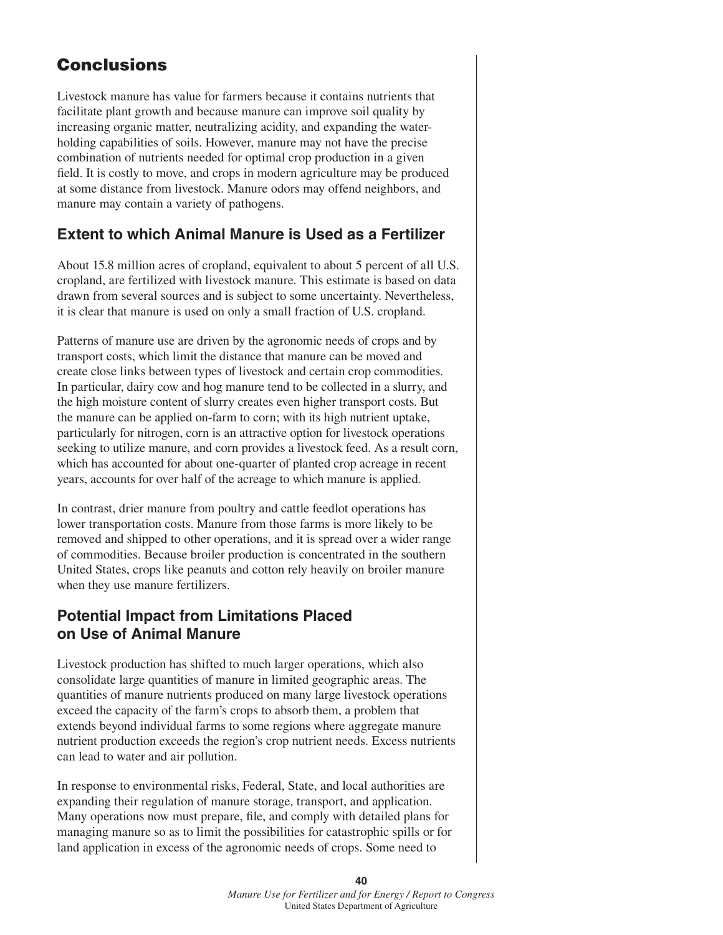## **Conclusions**

Livestock manure has value for farmers because it contains nutrients that facilitate plant growth and because manure can improve soil quality by increasing organic matter, neutralizing acidity, and expanding the waterholding capabilities of soils. However, manure may not have the precise combination of nutrients needed for optimal crop production in a given field. It is costly to move, and crops in modern agriculture may be produced at some distance from livestock. Manure odors may offend neighbors, and manure may contain a variety of pathogens.

## **Extent to which Animal Manure is Used as a Fertilizer**

About 15.8 million acres of cropland, equivalent to about 5 percent of all U.S. cropland, are fertilized with livestock manure. This estimate is based on data drawn from several sources and is subject to some uncertainty. Nevertheless, it is clear that manure is used on only a small fraction of U.S. cropland.

Patterns of manure use are driven by the agronomic needs of crops and by transport costs, which limit the distance that manure can be moved and create close links between types of livestock and certain crop commodities. In particular, dairy cow and hog manure tend to be collected in a slurry, and the high moisture content of slurry creates even higher transport costs. But the manure can be applied on-farm to corn; with its high nutrient uptake, particularly for nitrogen, corn is an attractive option for livestock operations seeking to utilize manure, and corn provides a livestock feed. As a result corn, which has accounted for about one-quarter of planted crop acreage in recent years, accounts for over half of the acreage to which manure is applied.

In contrast, drier manure from poultry and cattle feedlot operations has lower transportation costs. Manure from those farms is more likely to be removed and shipped to other operations, and it is spread over a wider range of commodities. Because broiler production is concentrated in the southern United States, crops like peanuts and cotton rely heavily on broiler manure when they use manure fertilizers.

## **Potential Impact from Limitations Placed on Use of Animal Manure**

Livestock production has shifted to much larger operations, which also consolidate large quantities of manure in limited geographic areas. The quantities of manure nutrients produced on many large livestock operations exceed the capacity of the farm's crops to absorb them, a problem that extends beyond individual farms to some regions where aggregate manure nutrient production exceeds the region's crop nutrient needs. Excess nutrients can lead to water and air pollution.

In response to environmental risks, Federal, State, and local authorities are expanding their regulation of manure storage, transport, and application. Many operations now must prepare, file, and comply with detailed plans for managing manure so as to limit the possibilities for catastrophic spills or for land application in excess of the agronomic needs of crops. Some need to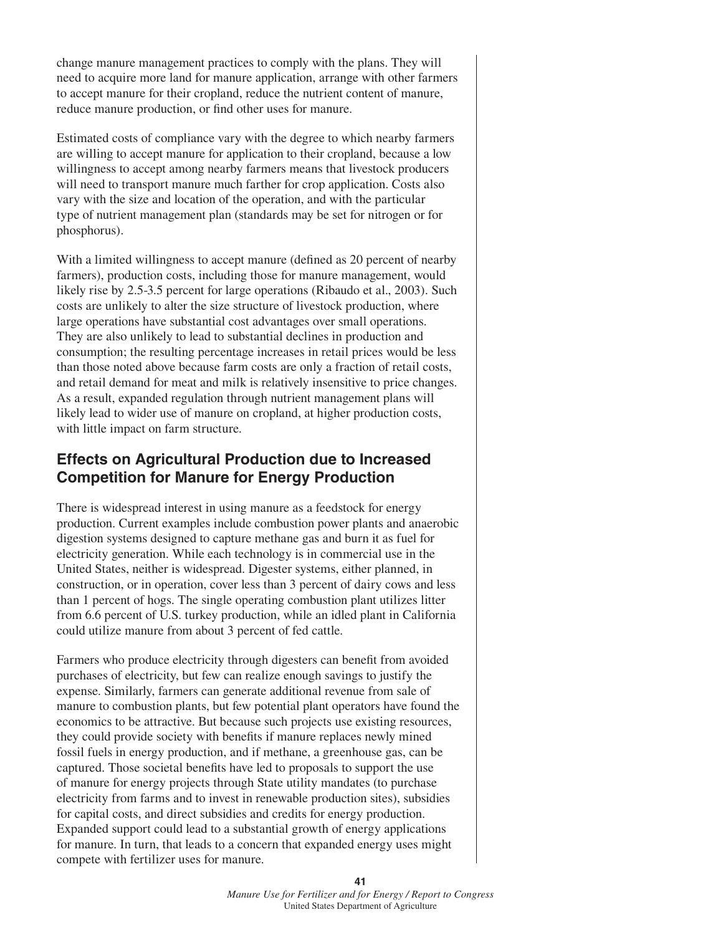change manure management practices to comply with the plans. They will need to acquire more land for manure application, arrange with other farmers to accept manure for their cropland, reduce the nutrient content of manure, reduce manure production, or find other uses for manure.

Estimated costs of compliance vary with the degree to which nearby farmers are willing to accept manure for application to their cropland, because a low willingness to accept among nearby farmers means that livestock producers will need to transport manure much farther for crop application. Costs also vary with the size and location of the operation, and with the particular type of nutrient management plan (standards may be set for nitrogen or for phosphorus).

With a limited willingness to accept manure (defined as 20 percent of nearby farmers), production costs, including those for manure management, would likely rise by 2.5-3.5 percent for large operations (Ribaudo et al., 2003). Such costs are unlikely to alter the size structure of livestock production, where large operations have substantial cost advantages over small operations. They are also unlikely to lead to substantial declines in production and consumption; the resulting percentage increases in retail prices would be less than those noted above because farm costs are only a fraction of retail costs, and retail demand for meat and milk is relatively insensitive to price changes. As a result, expanded regulation through nutrient management plans will likely lead to wider use of manure on cropland, at higher production costs, with little impact on farm structure.

## **Effects on Agricultural Production due to Increased Competition for Manure for Energy Production**

There is widespread interest in using manure as a feedstock for energy production. Current examples include combustion power plants and anaerobic digestion systems designed to capture methane gas and burn it as fuel for electricity generation. While each technology is in commercial use in the United States, neither is widespread. Digester systems, either planned, in construction, or in operation, cover less than 3 percent of dairy cows and less than 1 percent of hogs. The single operating combustion plant utilizes litter from 6.6 percent of U.S. turkey production, while an idled plant in California could utilize manure from about 3 percent of fed cattle.

Farmers who produce electricity through digesters can benefit from avoided purchases of electricity, but few can realize enough savings to justify the expense. Similarly, farmers can generate additional revenue from sale of manure to combustion plants, but few potential plant operators have found the economics to be attractive. But because such projects use existing resources, they could provide society with benefits if manure replaces newly mined fossil fuels in energy production, and if methane, a greenhouse gas, can be captured. Those societal benefits have led to proposals to support the use of manure for energy projects through State utility mandates (to purchase electricity from farms and to invest in renewable production sites), subsidies for capital costs, and direct subsidies and credits for energy production. Expanded support could lead to a substantial growth of energy applications for manure. In turn, that leads to a concern that expanded energy uses might compete with fertilizer uses for manure.